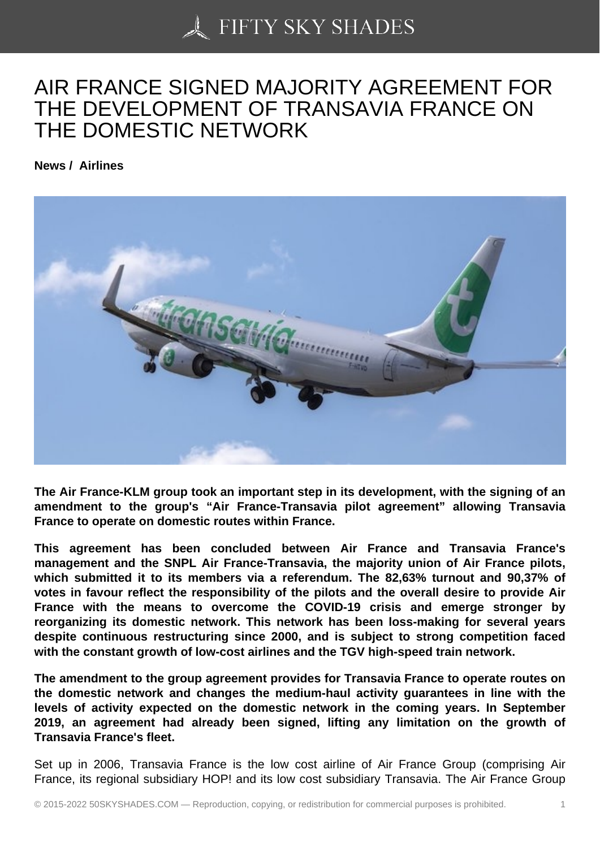## [AIR FRANCE SIGNED](https://50skyshades.com) MAJORITY AGREEMENT FOR THE DEVELOPMENT OF TRANSAVIA FRANCE ON THE DOMESTIC NETWORK

News / Airlines

The Air France-KLM group took an important step in its development, with the signing of an amendment to the group's "Air France-Transavia pilot agreement" allowing Transavia France to operate on domestic routes within France.

This agreement has been concluded between Air France and Transavia France's management and the SNPL Air France-Transavia, the majority union of Air France pilots, which submitted it to its members via a referendum. The 82,63% turnout and 90,37% of votes in favour reflect the responsibility of the pilots and the overall desire to provide Air France with the means to overcome the COVID-19 crisis and emerge stronger by reorganizing its domestic network. This network has been loss-making for several years despite continuous restructuring since 2000, and is subject to strong competition faced with the constant growth of low-cost airlines and the TGV high-speed train network.

The amendment to the group agreement provides for Transavia France to operate routes on the domestic network and changes the medium-haul activity guarantees in line with the levels of activity expected on the domestic network in the coming years. In September 2019, an agreement had already been signed, lifting any limitation on the growth of Transavia France's fleet.

Set up in 2006, Transavia France is the low cost airline of Air France Group (comprising Air France, its regional subsidiary HOP! and its low cost subsidiary Transavia. The Air France Group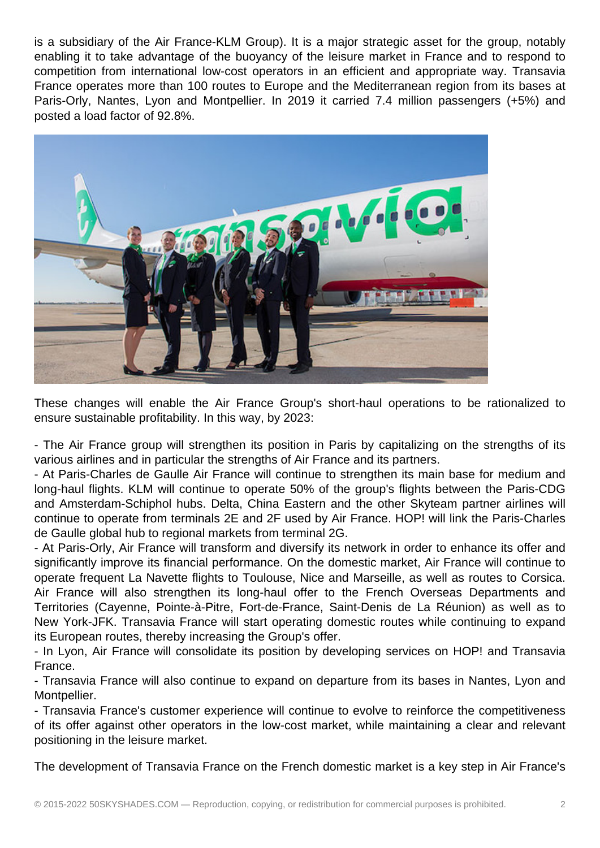is a subsidiary of the Air France-KLM Group). It is a major strategic asset for the group, notably enabling it to take advantage of the buoyancy of the leisure market in France and to respond to competition from international low-cost operators in an efficient and appropriate way. Transavia France operates more than 100 routes to Europe and the Mediterranean region from its bases at Paris-Orly, Nantes, Lyon and Montpellier. In 2019 it carried 7.4 million passengers (+5%) and posted a load factor of 92.8%.



These changes will enable the Air France Group's short-haul operations to be rationalized to ensure sustainable profitability. In this way, by 2023:

- The Air France group will strengthen its position in Paris by capitalizing on the strengths of its various airlines and in particular the strengths of Air France and its partners.

- At Paris-Charles de Gaulle Air France will continue to strengthen its main base for medium and long-haul flights. KLM will continue to operate 50% of the group's flights between the Paris-CDG and Amsterdam-Schiphol hubs. Delta, China Eastern and the other Skyteam partner airlines will continue to operate from terminals 2E and 2F used by Air France. HOP! will link the Paris-Charles de Gaulle global hub to regional markets from terminal 2G.

- At Paris-Orly, Air France will transform and diversify its network in order to enhance its offer and significantly improve its financial performance. On the domestic market, Air France will continue to operate frequent La Navette flights to Toulouse, Nice and Marseille, as well as routes to Corsica. Air France will also strengthen its long-haul offer to the French Overseas Departments and Territories (Cayenne, Pointe-à-Pitre, Fort-de-France, Saint-Denis de La Réunion) as well as to New York-JFK. Transavia France will start operating domestic routes while continuing to expand its European routes, thereby increasing the Group's offer.

- In Lyon, Air France will consolidate its position by developing services on HOP! and Transavia France.

- Transavia France will also continue to expand on departure from its bases in Nantes, Lyon and Montpellier.

- Transavia France's customer experience will continue to evolve to reinforce the competitiveness of its offer against other operators in the low-cost market, while maintaining a clear and relevant positioning in the leisure market.

The development of Transavia France on the French domestic market is a key step in Air France's